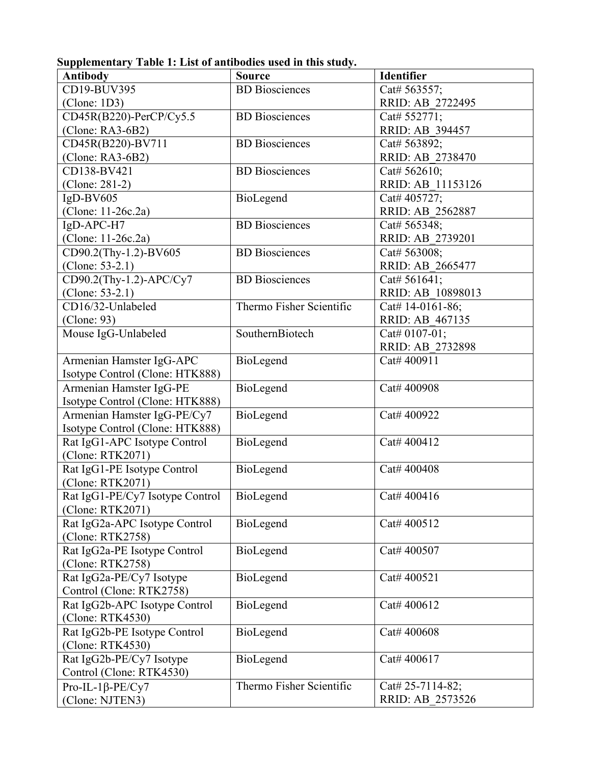**Supplementary Table 1: List of antibodies used in this study.**

| CD19-BUV395<br><b>BD</b> Biosciences<br>Cat# 563557;<br>RRID: AB 2722495<br>(Clone: 1D3)<br><b>BD</b> Biosciences<br>CD45R(B220)-PerCP/Cy5.5<br>Cat# 552771;<br>$(Clone: RA3-6B2)$<br>RRID: AB 394457<br><b>BD</b> Biosciences<br>CD45R(B220)-BV711<br>Cat# 563892;<br>$(Clone: RA3-6B2)$<br>RRID: AB 2738470<br><b>BD</b> Biosciences<br>CD138-BV421<br>Cat# 562610;<br>(Clone: 281-2)<br>RRID: AB 11153126<br>$IgD-BV605$<br>BioLegend<br>Cat# 405727;<br>(Clone: 11-26c.2a)<br>RRID: AB 2562887<br><b>BD</b> Biosciences<br>IgD-APC-H7<br>Cat# 565348;<br>(Clone: 11-26c.2a)<br>RRID: AB 2739201<br>CD90.2(Thy-1.2)-BV605<br><b>BD</b> Biosciences<br>Cat# 563008;<br>(Clone: $53-2.1$ )<br>RRID: AB 2665477<br>CD90.2(Thy-1.2)-APC/Cy7<br><b>BD</b> Biosciences<br>Cat# 561641;<br>(Clone: $53-2.1$ )<br>RRID: AB 10898013<br>Thermo Fisher Scientific<br>CD16/32-Unlabeled<br>Cat# 14-0161-86;<br>(Clone: 93)<br>RRID: AB 467135<br>SouthernBiotech<br>Mouse IgG-Unlabeled<br>Cat# 0107-01;<br>RRID: AB 2732898<br>Armenian Hamster IgG-APC<br>BioLegend<br>Cat# 400911<br>Isotype Control (Clone: HTK888)<br>Armenian Hamster IgG-PE<br>BioLegend<br>Cat# 400908<br>Isotype Control (Clone: HTK888)<br>Armenian Hamster IgG-PE/Cy7<br>BioLegend<br>Cat# 400922<br>Isotype Control (Clone: HTK888)<br>Rat IgG1-APC Isotype Control<br>BioLegend<br>Cat# 400412<br>(Clone: RTK2071)<br>Rat IgG1-PE Isotype Control<br>BioLegend<br>Cat# 400408<br>(Clone: RTK2071)<br>Rat IgG1-PE/Cy7 Isotype Control<br>BioLegend<br>Cat# 400416<br>(Clone: RTK2071)<br>Rat IgG2a-APC Isotype Control<br>BioLegend<br>Cat# 400512<br>(Clone: RTK2758)<br>Rat IgG2a-PE Isotype Control<br>BioLegend<br>Cat# 400507<br>(Clone: RTK2758)<br>Rat IgG2a-PE/Cy7 Isotype<br>BioLegend<br>Cat# 400521<br>Control (Clone: RTK2758) | <b>Antibody</b>               | <b>Source</b> | <b>Identifier</b> |
|----------------------------------------------------------------------------------------------------------------------------------------------------------------------------------------------------------------------------------------------------------------------------------------------------------------------------------------------------------------------------------------------------------------------------------------------------------------------------------------------------------------------------------------------------------------------------------------------------------------------------------------------------------------------------------------------------------------------------------------------------------------------------------------------------------------------------------------------------------------------------------------------------------------------------------------------------------------------------------------------------------------------------------------------------------------------------------------------------------------------------------------------------------------------------------------------------------------------------------------------------------------------------------------------------------------------------------------------------------------------------------------------------------------------------------------------------------------------------------------------------------------------------------------------------------------------------------------------------------------------------------------------------------------------------------------------------------------------------------------------------------------------------------------------------------------|-------------------------------|---------------|-------------------|
|                                                                                                                                                                                                                                                                                                                                                                                                                                                                                                                                                                                                                                                                                                                                                                                                                                                                                                                                                                                                                                                                                                                                                                                                                                                                                                                                                                                                                                                                                                                                                                                                                                                                                                                                                                                                                |                               |               |                   |
|                                                                                                                                                                                                                                                                                                                                                                                                                                                                                                                                                                                                                                                                                                                                                                                                                                                                                                                                                                                                                                                                                                                                                                                                                                                                                                                                                                                                                                                                                                                                                                                                                                                                                                                                                                                                                |                               |               |                   |
|                                                                                                                                                                                                                                                                                                                                                                                                                                                                                                                                                                                                                                                                                                                                                                                                                                                                                                                                                                                                                                                                                                                                                                                                                                                                                                                                                                                                                                                                                                                                                                                                                                                                                                                                                                                                                |                               |               |                   |
|                                                                                                                                                                                                                                                                                                                                                                                                                                                                                                                                                                                                                                                                                                                                                                                                                                                                                                                                                                                                                                                                                                                                                                                                                                                                                                                                                                                                                                                                                                                                                                                                                                                                                                                                                                                                                |                               |               |                   |
|                                                                                                                                                                                                                                                                                                                                                                                                                                                                                                                                                                                                                                                                                                                                                                                                                                                                                                                                                                                                                                                                                                                                                                                                                                                                                                                                                                                                                                                                                                                                                                                                                                                                                                                                                                                                                |                               |               |                   |
|                                                                                                                                                                                                                                                                                                                                                                                                                                                                                                                                                                                                                                                                                                                                                                                                                                                                                                                                                                                                                                                                                                                                                                                                                                                                                                                                                                                                                                                                                                                                                                                                                                                                                                                                                                                                                |                               |               |                   |
|                                                                                                                                                                                                                                                                                                                                                                                                                                                                                                                                                                                                                                                                                                                                                                                                                                                                                                                                                                                                                                                                                                                                                                                                                                                                                                                                                                                                                                                                                                                                                                                                                                                                                                                                                                                                                |                               |               |                   |
|                                                                                                                                                                                                                                                                                                                                                                                                                                                                                                                                                                                                                                                                                                                                                                                                                                                                                                                                                                                                                                                                                                                                                                                                                                                                                                                                                                                                                                                                                                                                                                                                                                                                                                                                                                                                                |                               |               |                   |
|                                                                                                                                                                                                                                                                                                                                                                                                                                                                                                                                                                                                                                                                                                                                                                                                                                                                                                                                                                                                                                                                                                                                                                                                                                                                                                                                                                                                                                                                                                                                                                                                                                                                                                                                                                                                                |                               |               |                   |
|                                                                                                                                                                                                                                                                                                                                                                                                                                                                                                                                                                                                                                                                                                                                                                                                                                                                                                                                                                                                                                                                                                                                                                                                                                                                                                                                                                                                                                                                                                                                                                                                                                                                                                                                                                                                                |                               |               |                   |
|                                                                                                                                                                                                                                                                                                                                                                                                                                                                                                                                                                                                                                                                                                                                                                                                                                                                                                                                                                                                                                                                                                                                                                                                                                                                                                                                                                                                                                                                                                                                                                                                                                                                                                                                                                                                                |                               |               |                   |
|                                                                                                                                                                                                                                                                                                                                                                                                                                                                                                                                                                                                                                                                                                                                                                                                                                                                                                                                                                                                                                                                                                                                                                                                                                                                                                                                                                                                                                                                                                                                                                                                                                                                                                                                                                                                                |                               |               |                   |
|                                                                                                                                                                                                                                                                                                                                                                                                                                                                                                                                                                                                                                                                                                                                                                                                                                                                                                                                                                                                                                                                                                                                                                                                                                                                                                                                                                                                                                                                                                                                                                                                                                                                                                                                                                                                                |                               |               |                   |
|                                                                                                                                                                                                                                                                                                                                                                                                                                                                                                                                                                                                                                                                                                                                                                                                                                                                                                                                                                                                                                                                                                                                                                                                                                                                                                                                                                                                                                                                                                                                                                                                                                                                                                                                                                                                                |                               |               |                   |
|                                                                                                                                                                                                                                                                                                                                                                                                                                                                                                                                                                                                                                                                                                                                                                                                                                                                                                                                                                                                                                                                                                                                                                                                                                                                                                                                                                                                                                                                                                                                                                                                                                                                                                                                                                                                                |                               |               |                   |
|                                                                                                                                                                                                                                                                                                                                                                                                                                                                                                                                                                                                                                                                                                                                                                                                                                                                                                                                                                                                                                                                                                                                                                                                                                                                                                                                                                                                                                                                                                                                                                                                                                                                                                                                                                                                                |                               |               |                   |
|                                                                                                                                                                                                                                                                                                                                                                                                                                                                                                                                                                                                                                                                                                                                                                                                                                                                                                                                                                                                                                                                                                                                                                                                                                                                                                                                                                                                                                                                                                                                                                                                                                                                                                                                                                                                                |                               |               |                   |
|                                                                                                                                                                                                                                                                                                                                                                                                                                                                                                                                                                                                                                                                                                                                                                                                                                                                                                                                                                                                                                                                                                                                                                                                                                                                                                                                                                                                                                                                                                                                                                                                                                                                                                                                                                                                                |                               |               |                   |
|                                                                                                                                                                                                                                                                                                                                                                                                                                                                                                                                                                                                                                                                                                                                                                                                                                                                                                                                                                                                                                                                                                                                                                                                                                                                                                                                                                                                                                                                                                                                                                                                                                                                                                                                                                                                                |                               |               |                   |
|                                                                                                                                                                                                                                                                                                                                                                                                                                                                                                                                                                                                                                                                                                                                                                                                                                                                                                                                                                                                                                                                                                                                                                                                                                                                                                                                                                                                                                                                                                                                                                                                                                                                                                                                                                                                                |                               |               |                   |
|                                                                                                                                                                                                                                                                                                                                                                                                                                                                                                                                                                                                                                                                                                                                                                                                                                                                                                                                                                                                                                                                                                                                                                                                                                                                                                                                                                                                                                                                                                                                                                                                                                                                                                                                                                                                                |                               |               |                   |
|                                                                                                                                                                                                                                                                                                                                                                                                                                                                                                                                                                                                                                                                                                                                                                                                                                                                                                                                                                                                                                                                                                                                                                                                                                                                                                                                                                                                                                                                                                                                                                                                                                                                                                                                                                                                                |                               |               |                   |
|                                                                                                                                                                                                                                                                                                                                                                                                                                                                                                                                                                                                                                                                                                                                                                                                                                                                                                                                                                                                                                                                                                                                                                                                                                                                                                                                                                                                                                                                                                                                                                                                                                                                                                                                                                                                                |                               |               |                   |
|                                                                                                                                                                                                                                                                                                                                                                                                                                                                                                                                                                                                                                                                                                                                                                                                                                                                                                                                                                                                                                                                                                                                                                                                                                                                                                                                                                                                                                                                                                                                                                                                                                                                                                                                                                                                                |                               |               |                   |
|                                                                                                                                                                                                                                                                                                                                                                                                                                                                                                                                                                                                                                                                                                                                                                                                                                                                                                                                                                                                                                                                                                                                                                                                                                                                                                                                                                                                                                                                                                                                                                                                                                                                                                                                                                                                                |                               |               |                   |
|                                                                                                                                                                                                                                                                                                                                                                                                                                                                                                                                                                                                                                                                                                                                                                                                                                                                                                                                                                                                                                                                                                                                                                                                                                                                                                                                                                                                                                                                                                                                                                                                                                                                                                                                                                                                                |                               |               |                   |
|                                                                                                                                                                                                                                                                                                                                                                                                                                                                                                                                                                                                                                                                                                                                                                                                                                                                                                                                                                                                                                                                                                                                                                                                                                                                                                                                                                                                                                                                                                                                                                                                                                                                                                                                                                                                                |                               |               |                   |
|                                                                                                                                                                                                                                                                                                                                                                                                                                                                                                                                                                                                                                                                                                                                                                                                                                                                                                                                                                                                                                                                                                                                                                                                                                                                                                                                                                                                                                                                                                                                                                                                                                                                                                                                                                                                                |                               |               |                   |
|                                                                                                                                                                                                                                                                                                                                                                                                                                                                                                                                                                                                                                                                                                                                                                                                                                                                                                                                                                                                                                                                                                                                                                                                                                                                                                                                                                                                                                                                                                                                                                                                                                                                                                                                                                                                                |                               |               |                   |
|                                                                                                                                                                                                                                                                                                                                                                                                                                                                                                                                                                                                                                                                                                                                                                                                                                                                                                                                                                                                                                                                                                                                                                                                                                                                                                                                                                                                                                                                                                                                                                                                                                                                                                                                                                                                                |                               |               |                   |
|                                                                                                                                                                                                                                                                                                                                                                                                                                                                                                                                                                                                                                                                                                                                                                                                                                                                                                                                                                                                                                                                                                                                                                                                                                                                                                                                                                                                                                                                                                                                                                                                                                                                                                                                                                                                                |                               |               |                   |
|                                                                                                                                                                                                                                                                                                                                                                                                                                                                                                                                                                                                                                                                                                                                                                                                                                                                                                                                                                                                                                                                                                                                                                                                                                                                                                                                                                                                                                                                                                                                                                                                                                                                                                                                                                                                                |                               |               |                   |
|                                                                                                                                                                                                                                                                                                                                                                                                                                                                                                                                                                                                                                                                                                                                                                                                                                                                                                                                                                                                                                                                                                                                                                                                                                                                                                                                                                                                                                                                                                                                                                                                                                                                                                                                                                                                                |                               |               |                   |
|                                                                                                                                                                                                                                                                                                                                                                                                                                                                                                                                                                                                                                                                                                                                                                                                                                                                                                                                                                                                                                                                                                                                                                                                                                                                                                                                                                                                                                                                                                                                                                                                                                                                                                                                                                                                                |                               |               |                   |
|                                                                                                                                                                                                                                                                                                                                                                                                                                                                                                                                                                                                                                                                                                                                                                                                                                                                                                                                                                                                                                                                                                                                                                                                                                                                                                                                                                                                                                                                                                                                                                                                                                                                                                                                                                                                                |                               |               |                   |
|                                                                                                                                                                                                                                                                                                                                                                                                                                                                                                                                                                                                                                                                                                                                                                                                                                                                                                                                                                                                                                                                                                                                                                                                                                                                                                                                                                                                                                                                                                                                                                                                                                                                                                                                                                                                                |                               |               |                   |
|                                                                                                                                                                                                                                                                                                                                                                                                                                                                                                                                                                                                                                                                                                                                                                                                                                                                                                                                                                                                                                                                                                                                                                                                                                                                                                                                                                                                                                                                                                                                                                                                                                                                                                                                                                                                                |                               |               |                   |
|                                                                                                                                                                                                                                                                                                                                                                                                                                                                                                                                                                                                                                                                                                                                                                                                                                                                                                                                                                                                                                                                                                                                                                                                                                                                                                                                                                                                                                                                                                                                                                                                                                                                                                                                                                                                                |                               |               |                   |
|                                                                                                                                                                                                                                                                                                                                                                                                                                                                                                                                                                                                                                                                                                                                                                                                                                                                                                                                                                                                                                                                                                                                                                                                                                                                                                                                                                                                                                                                                                                                                                                                                                                                                                                                                                                                                | Rat IgG2b-APC Isotype Control | BioLegend     | Cat# 400612       |
| (Clone: RTK4530)                                                                                                                                                                                                                                                                                                                                                                                                                                                                                                                                                                                                                                                                                                                                                                                                                                                                                                                                                                                                                                                                                                                                                                                                                                                                                                                                                                                                                                                                                                                                                                                                                                                                                                                                                                                               |                               |               |                   |
| Rat IgG2b-PE Isotype Control<br>BioLegend<br>Cat# 400608                                                                                                                                                                                                                                                                                                                                                                                                                                                                                                                                                                                                                                                                                                                                                                                                                                                                                                                                                                                                                                                                                                                                                                                                                                                                                                                                                                                                                                                                                                                                                                                                                                                                                                                                                       |                               |               |                   |
| (Clone: RTK4530)                                                                                                                                                                                                                                                                                                                                                                                                                                                                                                                                                                                                                                                                                                                                                                                                                                                                                                                                                                                                                                                                                                                                                                                                                                                                                                                                                                                                                                                                                                                                                                                                                                                                                                                                                                                               |                               |               |                   |
| Rat IgG2b-PE/Cy7 Isotype<br>BioLegend<br>Cat# 400617                                                                                                                                                                                                                                                                                                                                                                                                                                                                                                                                                                                                                                                                                                                                                                                                                                                                                                                                                                                                                                                                                                                                                                                                                                                                                                                                                                                                                                                                                                                                                                                                                                                                                                                                                           |                               |               |                   |
| Control (Clone: RTK4530)                                                                                                                                                                                                                                                                                                                                                                                                                                                                                                                                                                                                                                                                                                                                                                                                                                                                                                                                                                                                                                                                                                                                                                                                                                                                                                                                                                                                                                                                                                                                                                                                                                                                                                                                                                                       |                               |               |                   |
| Thermo Fisher Scientific<br>Cat# 25-7114-82;<br>Pro-IL-1 $\beta$ -PE/Cy7                                                                                                                                                                                                                                                                                                                                                                                                                                                                                                                                                                                                                                                                                                                                                                                                                                                                                                                                                                                                                                                                                                                                                                                                                                                                                                                                                                                                                                                                                                                                                                                                                                                                                                                                       |                               |               |                   |
| RRID: AB 2573526<br>(Clone: NJTEN3)                                                                                                                                                                                                                                                                                                                                                                                                                                                                                                                                                                                                                                                                                                                                                                                                                                                                                                                                                                                                                                                                                                                                                                                                                                                                                                                                                                                                                                                                                                                                                                                                                                                                                                                                                                            |                               |               |                   |